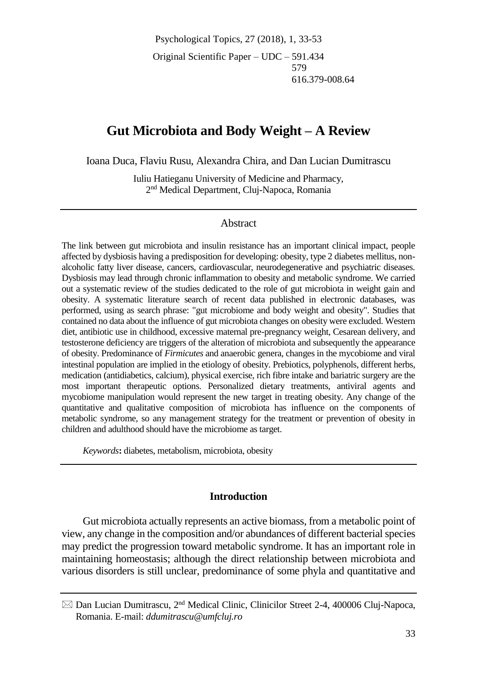Psychological Topics, 27 (2018), 1, 33-53 Original Scientific Paper – UDC – 591.434 579 616.379-008.64

# **Gut Microbiota and Body Weight – A Review**

Ioana Duca, Flaviu Rusu, Alexandra Chira, and Dan Lucian Dumitrascu

Iuliu Hatieganu University of Medicine and Pharmacy, 2 nd Medical Department, Cluj-Napoca, Romania

#### Abstract

The link between gut microbiota and insulin resistance has an important clinical impact, people affected by dysbiosis having a predisposition for developing: obesity, type 2 diabetes mellitus, nonalcoholic fatty liver disease, cancers, cardiovascular, neurodegenerative and psychiatric diseases. Dysbiosis may lead through chronic inflammation to obesity and metabolic syndrome. We carried out a systematic review of the studies dedicated to the role of gut microbiota in weight gain and obesity. A systematic literature search of recent data published in electronic databases, was performed, using as search phrase: "gut microbiome and body weight and obesity". Studies that contained no data about the influence of gut microbiota changes on obesity were excluded. Western diet, antibiotic use in childhood, excessive maternal pre-pregnancy weight, Cesarean delivery, and testosterone deficiency are triggers of the alteration of microbiota and subsequently the appearance of obesity. Predominance of *Firmicutes* and anaerobic genera, changes in the mycobiome and viral intestinal population are implied in the etiology of obesity. Prebiotics, polyphenols, different herbs, medication (antidiabetics, calcium), physical exercise, rich fibre intake and bariatric surgery are the most important therapeutic options. Personalized dietary treatments, antiviral agents and mycobiome manipulation would represent the new target in treating obesity. Any change of the quantitative and qualitative composition of microbiota has influence on the components of metabolic syndrome, so any management strategy for the treatment or prevention of obesity in children and adulthood should have the microbiome as target.

*Keywords***:** diabetes, metabolism, microbiota, obesity

#### **Introduction**

Gut microbiota actually represents an active biomass, from a metabolic point of view, any change in the composition and/or abundances of different bacterial species may predict the progression toward metabolic syndrome. It has an important role in maintaining homeostasis; although the direct relationship between microbiota and various disorders is still unclear, predominance of some phyla and quantitative and

 $\boxtimes$  Dan Lucian Dumitrascu, 2<sup>nd</sup> Medical Clinic, Clinicilor Street 2-4, 400006 Cluj-Napoca, Romania. E-mail: *ddumitrascu@umfcluj.ro*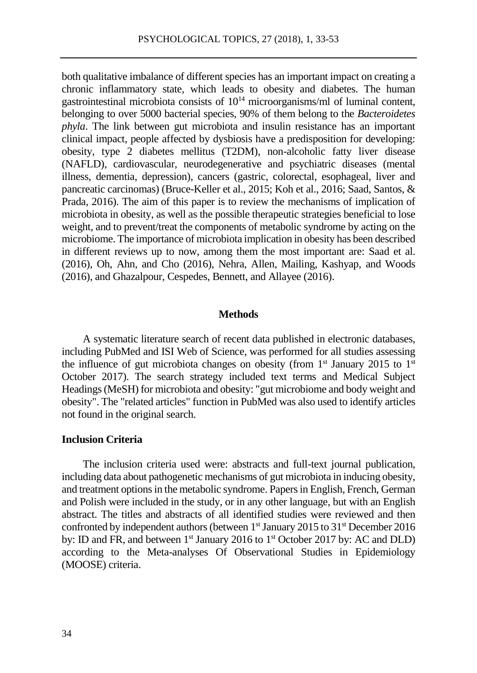both qualitative imbalance of different species has an important impact on creating a chronic inflammatory state, which leads to obesity and diabetes. The human gastrointestinal microbiota consists of  $10^{14}$  microorganisms/ml of luminal content, belonging to over 5000 bacterial species, 90% of them belong to the *Bacteroidetes phyla*. The link between gut microbiota and insulin resistance has an important clinical impact, people affected by dysbiosis have a predisposition for developing: obesity, type 2 diabetes mellitus (T2DM), non-alcoholic fatty liver disease (NAFLD), cardiovascular, neurodegenerative and psychiatric diseases (mental illness, dementia, depression), cancers (gastric, colorectal, esophageal, liver and pancreatic carcinomas) (Bruce-Keller et al., 2015; Koh et al., 2016; Saad, Santos, & Prada, 2016). The aim of this paper is to review the mechanisms of implication of microbiota in obesity, as well as the possible therapeutic strategies beneficial to lose weight, and to prevent/treat the components of metabolic syndrome by acting on the microbiome. The importance of microbiota implication in obesity has been described in different reviews up to now, among them the most important are: Saad et al. (2016), Oh, Ahn, and Cho (2016), Nehra, Allen, Mailing, Kashyap, and Woods (2016), and Ghazalpour, Cespedes, Bennett, and Allayee (2016).

#### **Methods**

A systematic literature search of recent data published in electronic databases, including PubMed and ISI Web of Science, was performed for all studies assessing the influence of gut microbiota changes on obesity (from  $1<sup>st</sup>$  January 2015 to  $1<sup>st</sup>$ October 2017). The search strategy included text terms and Medical Subject Headings (MeSH) for microbiota and obesity: "gut microbiome and body weight and obesity". The "related articles" function in PubMed was also used to identify articles not found in the original search.

### **Inclusion Criteria**

The inclusion criteria used were: abstracts and full-text journal publication, including data about pathogenetic mechanisms of gut microbiota in inducing obesity, and treatment options in the metabolic syndrome. Papers in English, French, German and Polish were included in the study, or in any other language, but with an English abstract. The titles and abstracts of all identified studies were reviewed and then confronted by independent authors (between 1<sup>st</sup> January 2015 to 31<sup>st</sup> December 2016 by: ID and FR, and between 1<sup>st</sup> January 2016 to 1<sup>st</sup> October 2017 by: AC and DLD) according to the Meta-analyses Of Observational Studies in Epidemiology (MOOSE) criteria.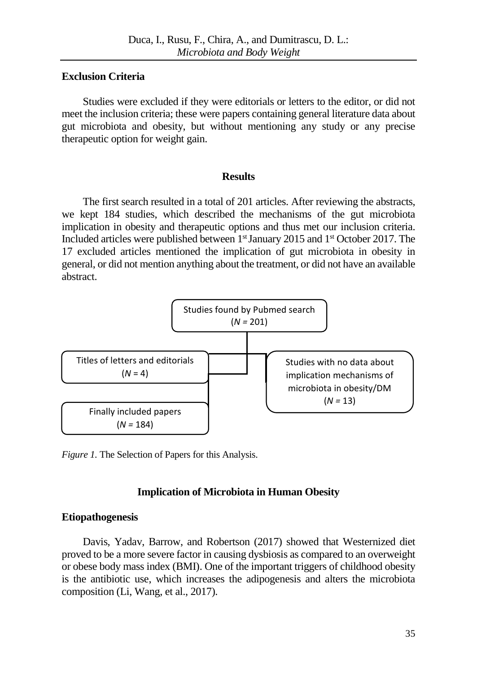## **Exclusion Criteria**

Studies were excluded if they were editorials or letters to the editor, or did not meet the inclusion criteria; these were papers containing general literature data about gut microbiota and obesity, but without mentioning any study or any precise therapeutic option for weight gain.

#### **Results**

The first search resulted in a total of 201 articles. After reviewing the abstracts, we kept 184 studies, which described the mechanisms of the gut microbiota implication in obesity and therapeutic options and thus met our inclusion criteria. Included articles were published between 1<sup>st</sup> January 2015 and 1<sup>st</sup> October 2017. The 17 excluded articles mentioned the implication of gut microbiota in obesity in general, or did not mention anything about the treatment, or did not have an available abstract.



*Figure 1.* The Selection of Papers for this Analysis.

## **Implication of Microbiota in Human Obesity**

## **Etiopathogenesis**

Davis, Yadav, Barrow, and Robertson (2017) showed that Westernized diet proved to be a more severe factor in causing dysbiosis as compared to an overweight or obese body mass index (BMI). One of the important triggers of childhood obesity is the antibiotic use, which increases the adipogenesis and alters the microbiota composition (Li, Wang, et al., 2017).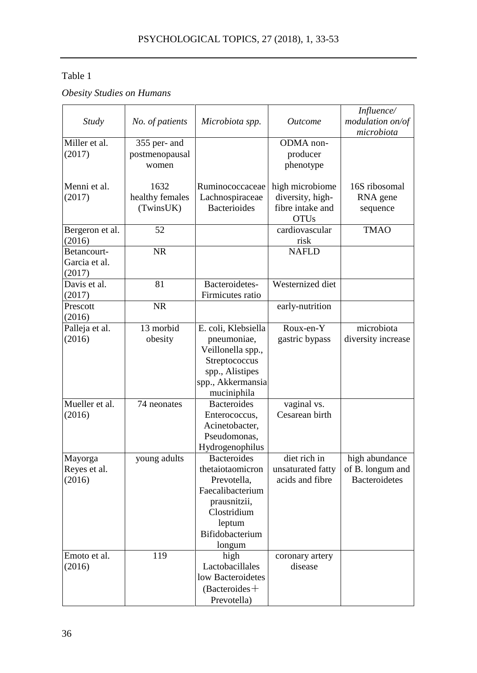# Table 1

*Obesity Studies on Humans*

|                 |                  |                     |                   | Influence/           |
|-----------------|------------------|---------------------|-------------------|----------------------|
| Study           | No. of patients  | Microbiota spp.     | <i>Outcome</i>    | modulation on/of     |
|                 |                  |                     |                   | microbiota           |
| Miller et al.   | 355 per- and     |                     | ODMA non-         |                      |
| (2017)          | postmenopausal   |                     | producer          |                      |
|                 | women            |                     | phenotype         |                      |
|                 |                  |                     |                   |                      |
| Menni et al.    | 1632             | Ruminococcaceae     | high microbiome   | 16S ribosomal        |
| (2017)          | healthy females  | Lachnospiraceae     | diversity, high-  | RNA gene             |
|                 | (TwinsUK)        | <b>Bacterioides</b> | fibre intake and  | sequence             |
|                 |                  |                     | <b>OTUs</b>       |                      |
| Bergeron et al. | 52               |                     | cardiovascular    | <b>TMAO</b>          |
| (2016)          |                  |                     | risk              |                      |
| Betancourt-     | <b>NR</b>        |                     | <b>NAFLD</b>      |                      |
| Garcia et al.   |                  |                     |                   |                      |
| (2017)          |                  |                     |                   |                      |
| Davis et al.    | 81               | Bacteroidetes-      | Westernized diet  |                      |
| (2017)          |                  | Firmicutes ratio    |                   |                      |
| Prescott        | <b>NR</b>        |                     | early-nutrition   |                      |
| (2016)          |                  |                     |                   |                      |
| Palleja et al.  | 13 morbid        | E. coli, Klebsiella | Roux-en-Y         | microbiota           |
| (2016)          | obesity          | pneumoniae,         | gastric bypass    | diversity increase   |
|                 |                  | Veillonella spp.,   |                   |                      |
|                 |                  | Streptococcus       |                   |                      |
|                 |                  | spp., Alistipes     |                   |                      |
|                 |                  | spp., Akkermansia   |                   |                      |
|                 |                  | muciniphila         |                   |                      |
| Mueller et al.  | 74 neonates      | Bacteroides         | vaginal vs.       |                      |
| (2016)          |                  | Enterococcus.       | Cesarean birth    |                      |
|                 |                  | Acinetobacter,      |                   |                      |
|                 |                  | Pseudomonas.        |                   |                      |
|                 |                  | Hydrogenophilus     |                   |                      |
| Mayorga         | young adults     | <b>Bacteroides</b>  | diet rich in      | high abundance       |
| Reyes et al.    |                  | thetaiotaomicron    | unsaturated fatty | of B. longum and     |
| (2016)          |                  | Prevotella,         | acids and fibre   | <b>Bacteroidetes</b> |
|                 |                  | Faecalibacterium    |                   |                      |
|                 |                  | prausnitzii,        |                   |                      |
|                 |                  | Clostridium         |                   |                      |
|                 |                  | leptum              |                   |                      |
|                 |                  | Bifidobacterium     |                   |                      |
|                 |                  | longum              |                   |                      |
| Emoto et al.    | $\overline{119}$ | high                | coronary artery   |                      |
| (2016)          |                  | Lactobacillales     | disease           |                      |
|                 |                  | low Bacteroidetes   |                   |                      |
|                 |                  | $(Bacteroides + )$  |                   |                      |
|                 |                  | Prevotella)         |                   |                      |
|                 |                  |                     |                   |                      |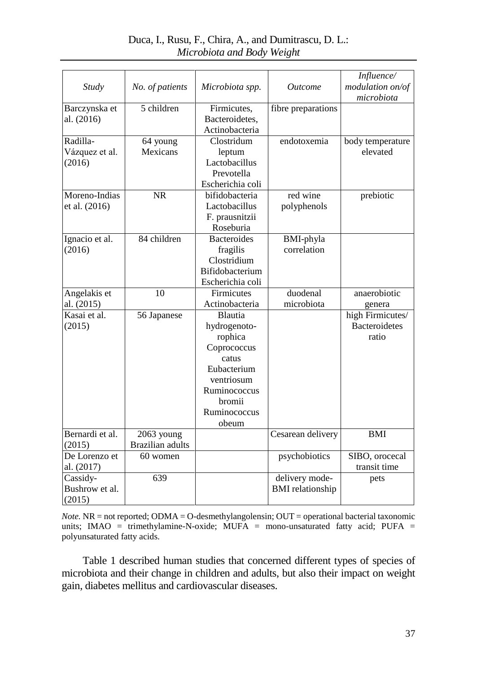|                 |                         |                    |                         | Influence/           |
|-----------------|-------------------------|--------------------|-------------------------|----------------------|
| <b>Study</b>    | No. of patients         | Microbiota spp.    | <b>Outcome</b>          | modulation on/of     |
|                 |                         |                    |                         | microbiota           |
| Barczynska et   | 5 children              | Firmicutes,        | fibre preparations      |                      |
| al. (2016)      |                         | Bacteroidetes,     |                         |                      |
|                 |                         | Actinobacteria     |                         |                      |
| Radilla-        |                         | Clostridum         | endotoxemia             |                      |
|                 | 64 young                |                    |                         | body temperature     |
| Vázquez et al.  | Mexicans                | leptum             |                         | elevated             |
| (2016)          |                         | Lactobacillus      |                         |                      |
|                 |                         | Prevotella         |                         |                      |
|                 |                         | Escherichia coli   |                         |                      |
| Moreno-Indias   | <b>NR</b>               | bifidobacteria     | red wine                | prebiotic            |
| et al. (2016)   |                         | Lactobacillus      | polyphenols             |                      |
|                 |                         | F. prausnitzii     |                         |                      |
|                 |                         | Roseburia          |                         |                      |
| Ignacio et al.  | 84 children             | <b>Bacteroides</b> | BMI-phyla               |                      |
| (2016)          |                         | fragilis           | correlation             |                      |
|                 |                         | Clostridium        |                         |                      |
|                 |                         | Bifidobacterium    |                         |                      |
|                 |                         | Escherichia coli   |                         |                      |
| Angelakis et    | 10                      | Firmicutes         | duodenal                | anaerobiotic         |
| al. (2015)      |                         | Actinobacteria     | microbiota              | genera               |
| Kasai et al.    | 56 Japanese             | Blautia            |                         | high Firmicutes/     |
| (2015)          |                         | hydrogenoto-       |                         | <b>Bacteroidetes</b> |
|                 |                         | rophica            |                         | ratio                |
|                 |                         | Coprococcus        |                         |                      |
|                 |                         | catus              |                         |                      |
|                 |                         | Eubacterium        |                         |                      |
|                 |                         | ventriosum         |                         |                      |
|                 |                         | Ruminococcus       |                         |                      |
|                 |                         | bromii             |                         |                      |
|                 |                         | Ruminococcus       |                         |                      |
|                 |                         | obeum              |                         |                      |
| Bernardi et al. | 2063 young              |                    | Cesarean delivery       | <b>BMI</b>           |
| (2015)          | <b>Brazilian</b> adults |                    |                         |                      |
| De Lorenzo et   | 60 women                |                    | psychobiotics           | SIBO, orocecal       |
|                 |                         |                    |                         | transit time         |
| al. (2017)      |                         |                    |                         |                      |
| Cassidy-        | 639                     |                    | delivery mode-          | pets                 |
| Bushrow et al.  |                         |                    | <b>BMI</b> relationship |                      |
| (2015)          |                         |                    |                         |                      |

Duca, I., Rusu, F., Chira, A., and Dumitrascu, D. L.: *Microbiota and Body Weight*

*Note.* NR = not reported; ODMA = O-desmethylangolensin; OUT = operational bacterial taxonomic units; IMAO = trimethylamine-N-oxide; MUFA = mono-unsaturated fatty acid; PUFA = polyunsaturated fatty acids.

Table 1 described human studies that concerned different types of species of microbiota and their change in children and adults, but also their impact on weight gain, diabetes mellitus and cardiovascular diseases.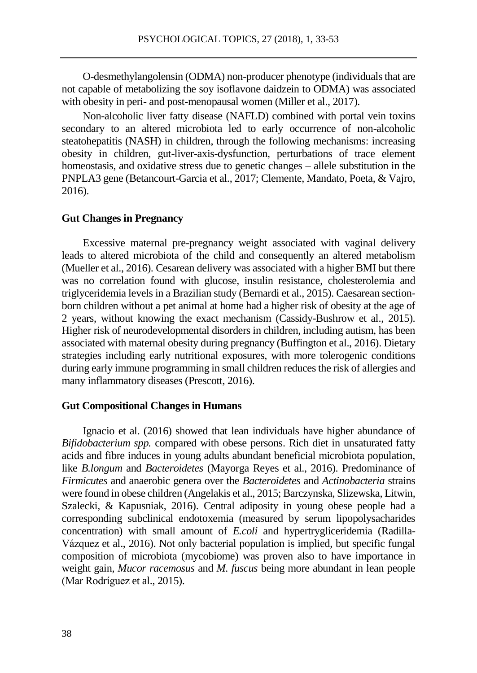O-desmethylangolensin (ODMA) non-producer phenotype (individuals that are not capable of metabolizing the soy isoflavone daidzein to ODMA) was associated with obesity in peri- and post-menopausal women (Miller et al., 2017).

Non-alcoholic liver fatty disease (NAFLD) combined with portal vein toxins secondary to an altered microbiota led to early occurrence of non-alcoholic steatohepatitis (NASH) in children, through the following mechanisms: increasing obesity in children, gut-liver-axis-dysfunction, perturbations of trace element homeostasis, and oxidative stress due to genetic changes – allele substitution in the PNPLA3 gene (Betancourt-Garcia et al., 2017; Clemente, Mandato, Poeta, & Vajro, 2016).

#### **Gut Changes in Pregnancy**

Excessive maternal pre-pregnancy weight associated with vaginal delivery leads to altered microbiota of the child and consequently an altered metabolism (Mueller et al., 2016). Cesarean delivery was associated with a higher BMI but there was no correlation found with glucose, insulin resistance, cholesterolemia and triglyceridemia levels in a Brazilian study (Bernardi et al., 2015). Caesarean sectionborn children without a pet animal at home had a higher risk of obesity at the age of 2 years, without knowing the exact mechanism (Cassidy-Bushrow et al., 2015). Higher risk of neurodevelopmental disorders in children, including autism, has been associated with maternal obesity during pregnancy (Buffington et al., 2016). Dietary strategies including early nutritional exposures, with more tolerogenic conditions during early immune programming in small children reduces the risk of allergies and many inflammatory diseases (Prescott, 2016).

## **Gut Compositional Changes in Humans**

Ignacio et al. (2016) showed that lean individuals have higher abundance of *Bifidobacterium spp.* compared with obese persons. Rich diet in unsaturated fatty acids and fibre induces in young adults abundant beneficial microbiota population, like *B.longum* and *Bacteroidetes* (Mayorga Reyes et al., 2016). Predominance of *Firmicutes* and anaerobic genera over the *Bacteroidetes* and *Actinobacteria* strains were found in obese children (Angelakis et al., 2015; Barczynska, Slizewska, Litwin, Szalecki, & Kapusniak, 2016). Central adiposity in young obese people had a corresponding subclinical endotoxemia (measured by serum lipopolysacharides concentration) with small amount of *E.coli* and hypertrygliceridemia (Radilla-Vázquez et al., 2016). Not only bacterial population is implied, but specific fungal composition of microbiota (mycobiome) was proven also to have importance in weight gain, *Mucor racemosus* and *M. fuscus* being more abundant in lean people (Mar Rodríguez et al., 2015).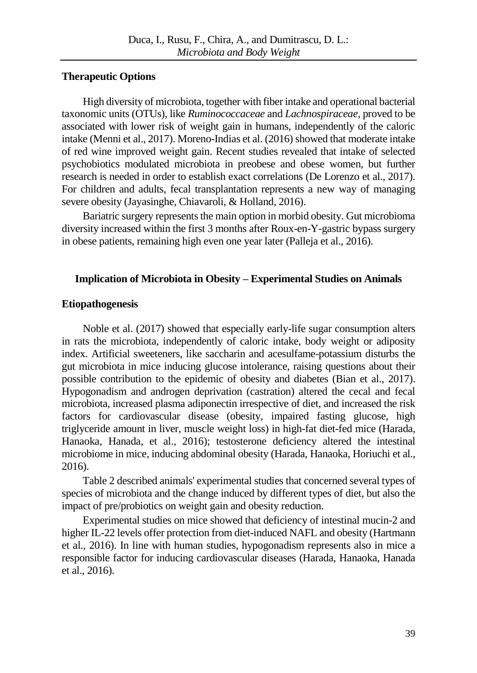### **Therapeutic Options**

High diversity of microbiota, together with fiber intake and operational bacterial taxonomic units (OTUs), like *Ruminococcaceae* and *Lachnospiraceae*, proved to be associated with lower risk of weight gain in humans, independently of the caloric intake (Menni et al., 2017). Moreno-Indias et al. (2016) showed that moderate intake of red wine improved weight gain. Recent studies revealed that intake of selected psychobiotics modulated microbiota in preobese and obese women, but further research is needed in order to establish exact correlations (De Lorenzo et al., 2017). For children and adults, fecal transplantation represents a new way of managing severe obesity (Jayasinghe, Chiavaroli, & Holland, 2016).

Bariatric surgery represents the main option in morbid obesity. Gut microbioma diversity increased within the first 3 months after Roux-en-Y-gastric bypass surgery in obese patients, remaining high even one year later (Palleja et al., 2016).

## **Implication of Microbiota in Obesity – Experimental Studies on Animals**

## **Etiopathogenesis**

Noble et al. (2017) showed that especially early-life sugar consumption alters in rats the microbiota, independently of caloric intake, body weight or adiposity index. Artificial sweeteners, like saccharin and acesulfame-potassium disturbs the gut microbiota in mice inducing glucose intolerance, raising questions about their possible contribution to the epidemic of obesity and diabetes (Bian et al., 2017). Hypogonadism and androgen deprivation (castration) altered the cecal and fecal microbiota, increased plasma adiponectin irrespective of diet, and increased the risk factors for cardiovascular disease (obesity, impaired fasting glucose, high triglyceride amount in liver, muscle weight loss) in high-fat diet-fed mice (Harada, Hanaoka, Hanada, et al., 2016); testosterone deficiency altered the intestinal microbiome in mice, inducing abdominal obesity (Harada, Hanaoka, Horiuchi et al., 2016).

Table 2 described animals' experimental studies that concerned several types of species of microbiota and the change induced by different types of diet, but also the impact of pre/probiotics on weight gain and obesity reduction.

Experimental studies on mice showed that deficiency of intestinal mucin-2 and higher IL-22 levels offer protection from diet-induced NAFL and obesity (Hartmann et al., 2016). In line with human studies, hypogonadism represents also in mice a responsible factor for inducing cardiovascular diseases (Harada, Hanaoka, Hanada et al., 2016).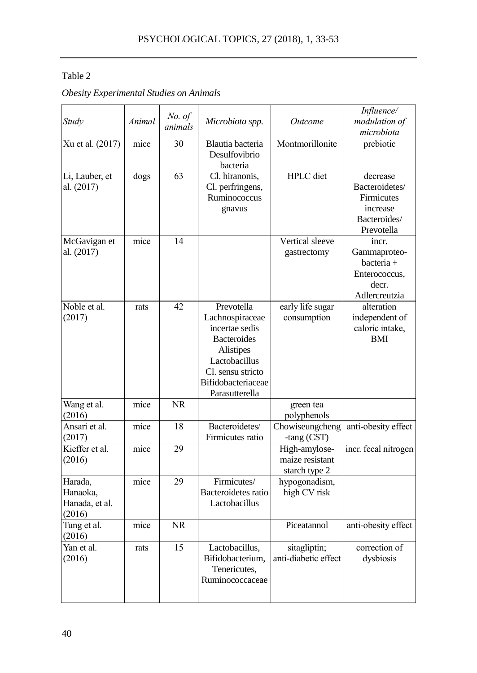# Table 2

*Obesity Experimental Studies on Animals*

| Study                                            | Animal       | No. of<br>animals | Microbiota spp.                                                                                                                                                         | <i>Outcome</i>                                    | Influence/<br>modulation of<br>microbiota                                                       |
|--------------------------------------------------|--------------|-------------------|-------------------------------------------------------------------------------------------------------------------------------------------------------------------------|---------------------------------------------------|-------------------------------------------------------------------------------------------------|
| Xu et al. (2017)<br>Li, Lauber, et<br>al. (2017) | mice<br>dogs | 30<br>63          | Blautia bacteria<br>Desulfovibrio<br>bacteria<br>Cl. hiranonis,<br>Cl. perfringens,<br>Ruminococcus<br>gnavus                                                           | Montmorillonite<br>HPLC diet                      | prebiotic<br>decrease<br>Bacteroidetes/<br>Firmicutes<br>increase<br>Bacteroides/<br>Prevotella |
| McGavigan et<br>al. (2017)                       | mice         | 14                |                                                                                                                                                                         | Vertical sleeve<br>gastrectomy                    | incr.<br>Gammaproteo-<br>bacteria +<br>Enterococcus.<br>decr.<br>Adlercreutzia                  |
| Noble et al.<br>(2017)                           | rats         | 42                | Prevotella<br>Lachnospiraceae<br>incertae sedis<br><b>Bacteroides</b><br>Alistipes<br>Lactobacillus<br>Cl. sensu stricto<br><b>Bifidobacteriaceae</b><br>Parasutterella | early life sugar<br>consumption                   | alteration<br>independent of<br>caloric intake,<br><b>BMI</b>                                   |
| Wang et al.<br>(2016)                            | mice         | NR.               |                                                                                                                                                                         | green tea<br>polyphenols                          |                                                                                                 |
| Ansari et al.<br>(2017)                          | mice         | 18                | Bacteroidetes/<br>Firmicutes ratio                                                                                                                                      | Chowiseungcheng<br>-tang (CST)                    | anti-obesity effect                                                                             |
| Kieffer et al.<br>(2016)                         | mice         | 29                |                                                                                                                                                                         | High-amylose-<br>maize resistant<br>starch type 2 | incr. fecal nitrogen                                                                            |
| Harada,<br>Hanaoka,<br>Hanada, et al.<br>(2016)  | mice         | 29                | Firmicutes/<br>Bacteroidetes ratio<br>Lactobacillus                                                                                                                     | hypogonadism,<br>high CV risk                     |                                                                                                 |
| Tung et al.<br>(2016)                            | mice         | NR.               |                                                                                                                                                                         | Piceatannol                                       | anti-obesity effect                                                                             |
| Yan et al.<br>(2016)                             | rats         | 15                | Lactobacillus,<br>Bifidobacterium,<br>Tenericutes,<br>Ruminococcaceae                                                                                                   | sitagliptin;<br>anti-diabetic effect              | correction of<br>dysbiosis                                                                      |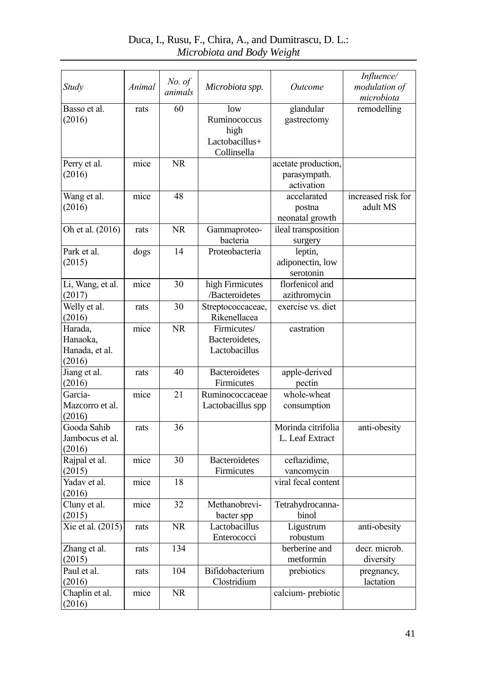| Study                                           | Animal | No. of    | Microbiota spp.                                              | <i>Outcome</i>                                    | Influence/<br>modulation of    |
|-------------------------------------------------|--------|-----------|--------------------------------------------------------------|---------------------------------------------------|--------------------------------|
|                                                 |        | animals   |                                                              |                                                   | microbiota                     |
| Basso et al.<br>(2016)                          | rats   | 60        | low<br>Ruminococcus<br>high<br>Lactobacillus+<br>Collinsella | glandular<br>gastrectomy                          | remodelling                    |
| Perry et al.<br>(2016)                          | mice   | <b>NR</b> |                                                              | acetate production,<br>parasympath.<br>activation |                                |
| Wang et al.<br>(2016)                           | mice   | 48        |                                                              | accelarated<br>postna<br>neonatal growth          | increased risk for<br>adult MS |
| Oh et al. (2016)                                | rats   | NR        | Gammaproteo-<br>bacteria                                     | ileal transposition<br>surgery                    |                                |
| Park et al.<br>(2015)                           | dogs   | 14        | Proteobacteria                                               | leptin,<br>adiponectin, low<br>serotonin          |                                |
| Li, Wang, et al.<br>(2017)                      | mice   | 30        | high Firmicutes<br>/Bacteroidetes                            | florfenicol and<br>azithromycin                   |                                |
| Welly et al.<br>(2016)                          | rats   | 30        | Streptococcaceae,<br>Rikenellacea                            | exercise vs. diet                                 |                                |
| Harada,<br>Hanaoka,<br>Hanada, et al.<br>(2016) | mice   | <b>NR</b> | Firmicutes/<br>Bacteroidetes,<br>Lactobacillus               | castration                                        |                                |
| Jiang et al.<br>(2016)                          | rats   | 40        | <b>Bacteroidetes</b><br>Firmicutes                           | apple-derived<br>pectin                           |                                |
| Garcia-<br>Mazcorro et al.<br>(2016)            | mice   | 21        | Ruminococcaceae<br>Lactobacillus spp                         | whole-wheat<br>consumption                        |                                |
| Gooda Sahib<br>Jambocus et al.<br>(2016)        | rats   | 36        |                                                              | Morinda citrifolia<br>L. Leaf Extract             | anti-obesity                   |
| Rajpal et al.<br>(2015)                         | mice   | 30        | <b>Bacteroidetes</b><br>Firmicutes                           | ceftazidime,<br>vancomycin                        |                                |
| Yadav et al.<br>(2016)                          | mice   | 18        |                                                              | viral fecal content                               |                                |
| Cluny et al.<br>(2015)                          | mice   | 32        | Methanobrevi-<br>bacter spp                                  | Tetrahydrocanna-<br>binol                         |                                |
| Xie et al. (2015)                               | rats   | NR        | Lactobacillus<br>Enterococci                                 | Ligustrum<br>robustum                             | anti-obesity                   |
| Zhang et al.<br>(2015)                          | rats   | 134       |                                                              | berberine and<br>metformin                        | decr. microb.<br>diversity     |
| Paul et al.<br>(2016)                           | rats   | 104       | Bifidobacterium<br>Clostridium                               | prebiotics                                        | pregnancy,<br>lactation        |
| Chaplin et al.<br>(2016)                        | mice   | NR        |                                                              | calcium- prebiotic                                |                                |

# Duca, I., Rusu, F., Chira, A., and Dumitrascu, D. L.: *Microbiota and Body Weight*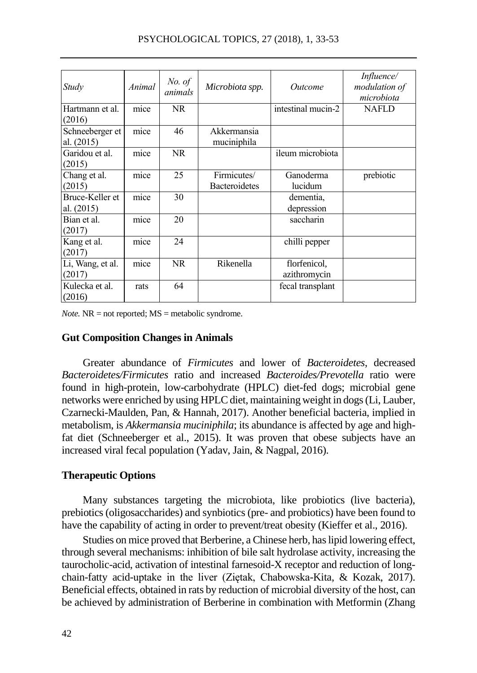| Study                           | Animal | No. of<br>animals | Microbiota spp.                     | Outcome                      | <i>Influence</i> /<br>modulation of<br>microbiota |
|---------------------------------|--------|-------------------|-------------------------------------|------------------------------|---------------------------------------------------|
| Hartmann et al.<br>(2016)       | mice   | NR.               |                                     | intestinal mucin-2           | <b>NAFLD</b>                                      |
| Schneeberger et<br>al. $(2015)$ | mice   | 46                | Akkermansia<br>muciniphila          |                              |                                                   |
| Garidou et al.<br>(2015)        | mice   | <b>NR</b>         |                                     | ileum microbiota             |                                                   |
| Chang et al.<br>(2015)          | mice   | 25                | Firmicutes/<br><b>Bacteroidetes</b> | Ganoderma<br>lucidum         | prebiotic                                         |
| Bruce-Keller et<br>al. $(2015)$ | mice   | 30                |                                     | dementia.<br>depression      |                                                   |
| Bian et al.<br>(2017)           | mice   | 20                |                                     | saccharin                    |                                                   |
| Kang et al.<br>(2017)           | mice   | 24                |                                     | chilli pepper                |                                                   |
| Li, Wang, et al.<br>(2017)      | mice   | NR                | Rikenella                           | florfenicol,<br>azithromycin |                                                   |
| Kulecka et al.<br>(2016)        | rats   | 64                |                                     | fecal transplant             |                                                   |

*Note.* NR = not reported; MS = metabolic syndrome.

#### **Gut Composition Changes in Animals**

Greater abundance of *Firmicutes* and lower of *Bacteroidetes*, decreased *Bacteroidetes/Firmicutes* ratio and increased *Bacteroides/Prevotella* ratio were found in high-protein, low-carbohydrate (HPLC) diet-fed dogs; microbial gene networks were enriched by using HPLC diet, maintaining weight in dogs (Li, Lauber, Czarnecki-Maulden, Pan, & Hannah, 2017). Another beneficial bacteria, implied in metabolism, is *Akkermansia muciniphila*; its abundance is affected by age and highfat diet (Schneeberger et al., 2015). It was proven that obese subjects have an increased viral fecal population (Yadav, Jain, & Nagpal, 2016).

#### **Therapeutic Options**

Many substances targeting the microbiota, like probiotics (live bacteria), prebiotics (oligosaccharides) and synbiotics (pre- and probiotics) have been found to have the capability of acting in order to prevent/treat obesity (Kieffer et al., 2016).

Studies on mice proved that Berberine, a Chinese herb, has lipid lowering effect, through several mechanisms: inhibition of bile salt hydrolase activity, increasing the taurocholic-acid, activation of intestinal farnesoid-X receptor and reduction of longchain-fatty acid-uptake in the liver (Ziętak, Chabowska-Kita, & Kozak, 2017). Beneficial effects, obtained in rats by reduction of microbial diversity of the host, can be achieved by administration of Berberine in combination with Metformin (Zhang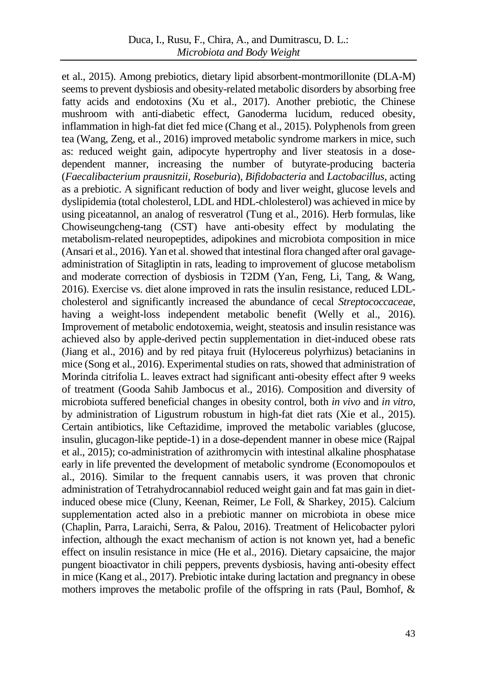et al., 2015). Among prebiotics, dietary lipid absorbent-montmorillonite (DLA-M) seems to prevent dysbiosis and obesity-related metabolic disorders by absorbing free fatty acids and endotoxins (Xu et al., 2017). Another prebiotic, the Chinese mushroom with anti-diabetic effect, Ganoderma lucidum, reduced obesity, inflammation in high-fat diet fed mice (Chang et al., 2015). Polyphenols from green tea (Wang, Zeng, et al., 2016) improved metabolic syndrome markers in mice, such as: reduced weight gain, adipocyte hypertrophy and liver steatosis in a dosedependent manner, increasing the number of butyrate-producing bacteria (*Faecalibacterium prausnitzii, Roseburia*), *Bifidobacteria* and *Lactobacillus*, acting as a prebiotic. A significant reduction of body and liver weight, glucose levels and dyslipidemia (total cholesterol, LDL and HDL-chlolesterol) was achieved in mice by using piceatannol, an analog of resveratrol (Tung et al., 2016). Herb formulas, like Chowiseungcheng-tang (CST) have anti-obesity effect by modulating the metabolism-related neuropeptides, adipokines and microbiota composition in mice (Ansari et al., 2016). Yan et al. showed that intestinal flora changed after oral gavageadministration of Sitagliptin in rats, leading to improvement of glucose metabolism and moderate correction of dysbiosis in T2DM (Yan, Feng, Li, Tang, & Wang, 2016). Exercise vs. diet alone improved in rats the insulin resistance, reduced LDLcholesterol and significantly increased the abundance of cecal *Streptococcaceae*, having a weight-loss independent metabolic benefit (Welly et al., 2016). Improvement of metabolic endotoxemia, weight, steatosis and insulin resistance was achieved also by apple-derived pectin supplementation in diet-induced obese rats (Jiang et al., 2016) and by red pitaya fruit (Hylocereus polyrhizus) betacianins in mice (Song et al., 2016). Experimental studies on rats, showed that administration of Morinda citrifolia L. leaves extract had significant anti-obesity effect after 9 weeks of treatment (Gooda Sahib Jambocus et al., 2016). Composition and diversity of microbiota suffered beneficial changes in obesity control, both *in vivo* and *in vitro*, by administration of Ligustrum robustum in high-fat diet rats (Xie et al., 2015). Certain antibiotics, like Ceftazidime, improved the metabolic variables (glucose, insulin, glucagon-like peptide-1) in a dose-dependent manner in obese mice (Rajpal et al., 2015); co-administration of azithromycin with intestinal alkaline phosphatase early in life prevented the development of metabolic syndrome (Economopoulos et al., 2016). Similar to the frequent cannabis users, it was proven that chronic administration of Tetrahydrocannabiol reduced weight gain and fat mas gain in dietinduced obese mice (Cluny, Keenan, Reimer, Le Foll, & Sharkey, 2015). Calcium supplementation acted also in a prebiotic manner on microbiota in obese mice (Chaplin, Parra, Laraichi, Serra, & Palou, 2016). Treatment of Helicobacter pylori infection, although the exact mechanism of action is not known yet, had a benefic effect on insulin resistance in mice (He et al., 2016). Dietary capsaicine, the major pungent bioactivator in chili peppers, prevents dysbiosis, having anti-obesity effect in mice (Kang et al., 2017). Prebiotic intake during lactation and pregnancy in obese mothers improves the metabolic profile of the offspring in rats (Paul, Bomhof,  $\&$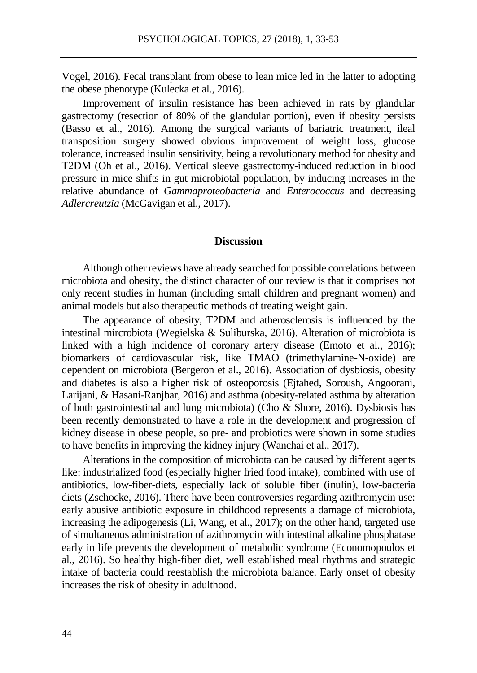Vogel, 2016). Fecal transplant from obese to lean mice led in the latter to adopting the obese phenotype (Kulecka et al., 2016).

Improvement of insulin resistance has been achieved in rats by glandular gastrectomy (resection of 80% of the glandular portion), even if obesity persists (Basso et al., 2016). Among the surgical variants of bariatric treatment, ileal transposition surgery showed obvious improvement of weight loss, glucose tolerance, increased insulin sensitivity, being a revolutionary method for obesity and T2DM (Oh et al., 2016). Vertical sleeve gastrectomy-induced reduction in blood pressure in mice shifts in gut microbiotal population, by inducing increases in the relative abundance of *Gammaproteobacteria* and *Enterococcus* and decreasing *Adlercreutzia* (McGavigan et al., 2017).

#### **Discussion**

Although other reviews have already searched for possible correlations between microbiota and obesity, the distinct character of our review is that it comprises not only recent studies in human (including small children and pregnant women) and animal models but also therapeutic methods of treating weight gain.

The appearance of obesity, T2DM and atherosclerosis is influenced by the intestinal mircrobiota (Wegielska & Suliburska, 2016). Alteration of microbiota is linked with a high incidence of coronary artery disease (Emoto et al., 2016); biomarkers of cardiovascular risk, like TMAO (trimethylamine-N-oxide) are dependent on microbiota (Bergeron et al., 2016). Association of dysbiosis, obesity and diabetes is also a higher risk of osteoporosis (Ejtahed, Soroush, Angoorani, Larijani, & Hasani-Ranjbar, 2016) and asthma (obesity-related asthma by alteration of both gastrointestinal and lung microbiota) (Cho & Shore, 2016). Dysbiosis has been recently demonstrated to have a role in the development and progression of kidney disease in obese people, so pre- and probiotics were shown in some studies to have benefits in improving the kidney injury (Wanchai et al., 2017).

Alterations in the composition of microbiota can be caused by different agents like: industrialized food (especially higher fried food intake), combined with use of antibiotics, low-fiber-diets, especially lack of soluble fiber (inulin), low-bacteria diets (Zschocke, 2016). There have been controversies regarding azithromycin use: early abusive antibiotic exposure in childhood represents a damage of microbiota, increasing the adipogenesis (Li, Wang, et al., 2017); on the other hand, targeted use of simultaneous administration of azithromycin with intestinal alkaline phosphatase early in life prevents the development of metabolic syndrome (Economopoulos et al., 2016). So healthy high-fiber diet, well established meal rhythms and strategic intake of bacteria could reestablish the microbiota balance. Early onset of obesity increases the risk of obesity in adulthood.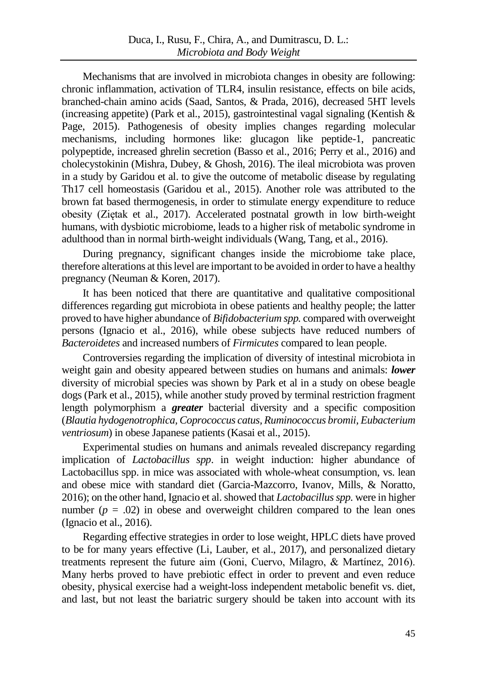Mechanisms that are involved in microbiota changes in obesity are following: chronic inflammation, activation of TLR4, insulin resistance, effects on bile acids, branched-chain amino acids (Saad, Santos, & Prada, 2016), decreased 5HT levels (increasing appetite) (Park et al., 2015), gastrointestinal vagal signaling (Kentish  $\&$ Page, 2015). Pathogenesis of obesity implies changes regarding molecular mechanisms, including hormones like: glucagon like peptide-1, pancreatic polypeptide, increased ghrelin secretion (Basso et al., 2016; Perry et al., 2016) and cholecystokinin (Mishra, Dubey, & Ghosh, 2016). The ileal microbiota was proven in a study by Garidou et al. to give the outcome of metabolic disease by regulating Th17 cell homeostasis (Garidou et al., 2015). Another role was attributed to the brown fat based thermogenesis, in order to stimulate energy expenditure to reduce obesity (Ziętak et al., 2017). Accelerated postnatal growth in low birth-weight humans, with dysbiotic microbiome, leads to a higher risk of metabolic syndrome in adulthood than in normal birth-weight individuals (Wang, Tang, et al., 2016).

During pregnancy, significant changes inside the microbiome take place, therefore alterations at this level are important to be avoided in order to have a healthy pregnancy (Neuman & Koren, 2017).

It has been noticed that there are quantitative and qualitative compositional differences regarding gut microbiota in obese patients and healthy people; the latter proved to have higher abundance of *Bifidobacterium spp.* compared with overweight persons (Ignacio et al., 2016), while obese subjects have reduced numbers of *Bacteroidetes* and increased numbers of *Firmicutes* compared to lean people.

Controversies regarding the implication of diversity of intestinal microbiota in weight gain and obesity appeared between studies on humans and animals: *lower* diversity of microbial species was shown by Park et al in a study on obese beagle dogs (Park et al., 2015), while another study proved by terminal restriction fragment length polymorphism a *greater* bacterial diversity and a specific composition (*Blautia hydogenotrophica, Coprococcus catus, Ruminococcus bromii, Eubacterium ventriosum*) in obese Japanese patients (Kasai et al., 2015).

Experimental studies on humans and animals revealed discrepancy regarding implication of *Lactobacillus spp*. in weight induction: higher abundance of Lactobacillus spp. in mice was associated with whole-wheat consumption, vs. lean and obese mice with standard diet (Garcia-Mazcorro, Ivanov, Mills, & Noratto, 2016); on the other hand, Ignacio et al. showed that *Lactobacillus spp*, were in higher number  $(p = .02)$  in obese and overweight children compared to the lean ones (Ignacio et al., 2016).

Regarding effective strategies in order to lose weight, HPLC diets have proved to be for many years effective (Li, Lauber, et al., 2017), and personalized dietary treatments represent the future aim (Goni, Cuervo, Milagro, & Martínez, 2016). Many herbs proved to have prebiotic effect in order to prevent and even reduce obesity, physical exercise had a weight-loss independent metabolic benefit vs. diet, and last, but not least the bariatric surgery should be taken into account with its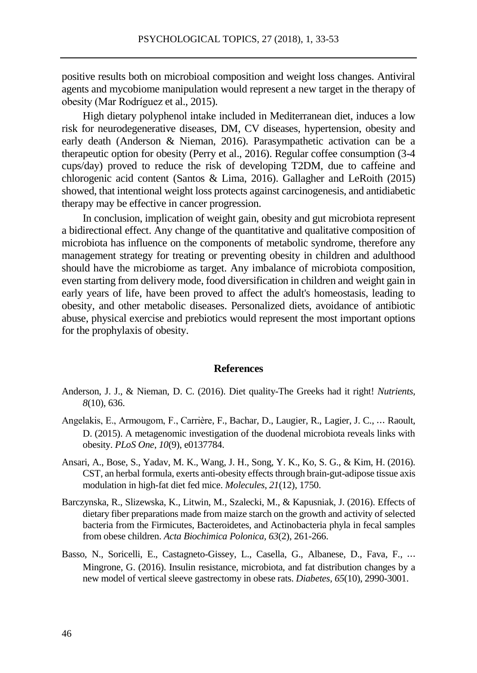positive results both on microbioal composition and weight loss changes. Antiviral agents and mycobiome manipulation would represent a new target in the therapy of obesity (Mar Rodríguez et al., 2015).

High dietary polyphenol intake included in Mediterranean diet, induces a low risk for neurodegenerative diseases, DM, CV diseases, hypertension, obesity and early death (Anderson & Nieman, 2016). Parasympathetic activation can be a therapeutic option for obesity (Perry et al., 2016). Regular coffee consumption (3-4 cups/day) proved to reduce the risk of developing T2DM, due to caffeine and chlorogenic acid content (Santos & Lima, 2016). Gallagher and LeRoith (2015) showed, that intentional weight loss protects against carcinogenesis, and antidiabetic therapy may be effective in cancer progression.

In conclusion, implication of weight gain, obesity and gut microbiota represent a bidirectional effect. Any change of the quantitative and qualitative composition of microbiota has influence on the components of metabolic syndrome, therefore any management strategy for treating or preventing obesity in children and adulthood should have the microbiome as target. Any imbalance of microbiota composition, even starting from delivery mode, food diversification in children and weight gain in early years of life, have been proved to affect the adult's homeostasis, leading to obesity, and other metabolic diseases. Personalized diets, avoidance of antibiotic abuse, physical exercise and prebiotics would represent the most important options for the prophylaxis of obesity.

#### **References**

- Anderson, J. J., & Nieman, D. C. (2016). Diet quality-The Greeks had it right! *Nutrients, 8*(10), 636.
- Angelakis, E., Armougom, F., Carrière, F., Bachar, D., Laugier, R., Lagier, J. C., ⋯ Raoult, D. (2015). A metagenomic investigation of the duodenal microbiota reveals links with obesity. *PLoS One*, *10*(9), e0137784.
- Ansari, A., Bose, S., Yadav, M. K., Wang, J. H., Song, Y. K., Ko, S. G., & Kim, H. (2016). CST, an herbal formula, exerts anti-obesity effects through brain-gut-adipose tissue axis modulation in high-fat diet fed mice. *Molecules*, *21*(12), 1750.
- Barczynska, R., Slizewska, K., Litwin, M., Szalecki, M., & Kapusniak, J. (2016). Effects of dietary fiber preparations made from maize starch on the growth and activity of selected bacteria from the Firmicutes, Bacteroidetes, and Actinobacteria phyla in fecal samples from obese children. *Acta Biochimica Polonica, 63*(2), 261-266.
- Basso, N., Soricelli, E., Castagneto-Gissey, L., Casella, G., Albanese, D., Fava, F., ⋯ Mingrone, G. (2016). Insulin resistance, microbiota, and fat distribution changes by a new model of vertical sleeve gastrectomy in obese rats. *Diabetes, 65*(10), 2990-3001.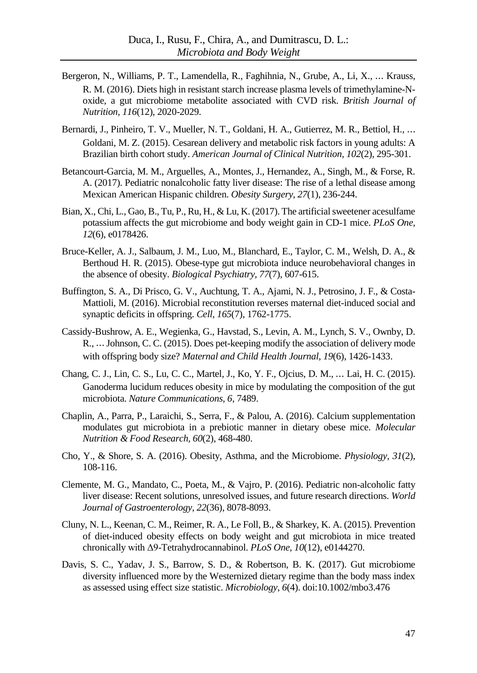- Bergeron, N., Williams, P. T., Lamendella, R., Faghihnia, N., Grube, A., Li, X., ⋯ Krauss, R. M. (2016). Diets high in resistant starch increase plasma levels of trimethylamine-Noxide, a gut microbiome metabolite associated with CVD risk. *British Journal of Nutrition, 116*(12), 2020-2029.
- Bernardi, J., Pinheiro, T. V., Mueller, N. T., Goldani, H. A., Gutierrez, M. R., Bettiol, H., ⋯ Goldani, M. Z. (2015). Cesarean delivery and metabolic risk factors in young adults: A Brazilian birth cohort study. *American Journal of Clinical Nutrition, 102*(2), 295-301.
- Betancourt-Garcia, M. M., Arguelles, A., Montes, J., Hernandez, A., Singh, M., & Forse, R. A. (2017). Pediatric nonalcoholic fatty liver disease: The rise of a lethal disease among Mexican American Hispanic children. *Obesity Surgery, 27*(1), 236-244.
- Bian, X., Chi, L., Gao, B., Tu, P., Ru, H., & Lu, K. (2017). The artificial sweetener acesulfame potassium affects the gut microbiome and body weight gain in CD-1 mice. *PLoS One*, *12*(6), e0178426.
- Bruce-Keller, A. J., Salbaum, J. M., Luo, M., Blanchard, E., Taylor, C. M., Welsh, D. A., & Berthoud H. R. (2015). Obese-type gut microbiota induce neurobehavioral changes in the absence of obesity. *Biological Psychiatry, 77*(7), 607-615.
- Buffington, S. A., Di Prisco, G. V., Auchtung, T. A., Ajami, N. J., Petrosino, J. F., & Costa-Mattioli, M. (2016). Microbial reconstitution reverses maternal diet-induced social and synaptic deficits in offspring. *Cell, 165*(7), 1762-1775.
- Cassidy-Bushrow, A. E., Wegienka, G., Havstad, S., Levin, A. M., Lynch, S. V., Ownby, D. R., ⋯ Johnson, C. C. (2015). Does pet-keeping modify the association of delivery mode with offspring body size? *Maternal and Child Health Journal, 19*(6), 1426-1433.
- Chang, C. J., Lin, C. S., Lu, C. C., Martel, J., Ko, Y. F., Ojcius, D. M., ⋯ Lai, H. C. (2015). Ganoderma lucidum reduces obesity in mice by modulating the composition of the gut microbiota. *Nature Communications, 6*, 7489.
- Chaplin, A., Parra, P., Laraichi, S., Serra, F., & Palou, A. (2016). Calcium supplementation modulates gut microbiota in a prebiotic manner in dietary obese mice. *Molecular Nutrition & Food Research, 60*(2), 468-480.
- Cho, Y., & Shore, S. A. (2016). Obesity, Asthma, and the Microbiome. *Physiology*, *31*(2), 108-116.
- Clemente, M. G., Mandato, C., Poeta, M., & Vajro, P. (2016). Pediatric non-alcoholic fatty liver disease: Recent solutions, unresolved issues, and future research directions. *World Journal of Gastroenterology, 22*(36), 8078-8093.
- Cluny, N. L., Keenan, C. M., Reimer, R. A., Le Foll, B., & Sharkey, K. A. (2015). Prevention of diet-induced obesity effects on body weight and gut microbiota in mice treated chronically with Δ9-Tetrahydrocannabinol. *PLoS One, 10*(12), e0144270.
- Davis, S. C., Yadav, J. S., Barrow, S. D., & Robertson, B. K. (2017). Gut microbiome diversity influenced more by the Westernized dietary regime than the body mass index as assessed using effect size statistic. *Microbiology*, *6*(4). doi:10.1002/mbo3.476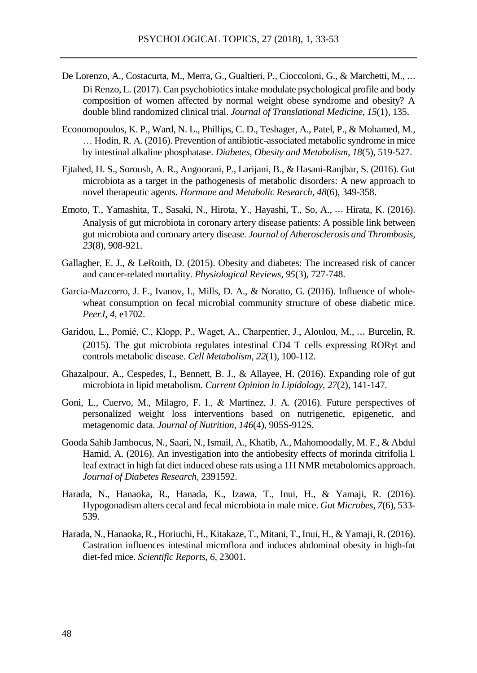- De Lorenzo, A., Costacurta, M., Merra, G., Gualtieri, P., Cioccoloni, G., & Marchetti, M., ⋯ Di Renzo, L. (2017). Can psychobioticsintake modulate psychological profile and body composition of women affected by normal weight obese syndrome and obesity? A double blind randomized clinical trial. *Journal of Translational Medicine, 15*(1), 135.
- Economopoulos, K. P., Ward, N. L., Phillips, C. D., Teshager, A., Patel, P., & Mohamed, M., … Hodin, R. A. (2016). Prevention of antibiotic-associated metabolic syndrome in mice by intestinal alkaline phosphatase. *Diabetes, Obesity and Metabolism, 18*(5), 519-527.
- Ejtahed, H. S., Soroush, A. R., Angoorani, P., Larijani, B., & Hasani-Ranjbar, S. (2016). Gut microbiota as a target in the pathogenesis of metabolic disorders: A new approach to novel therapeutic agents. *Hormone and Metabolic Research, 48*(6), 349-358.
- Emoto, T., Yamashita, T., Sasaki, N., Hirota, Y., Hayashi, T., So, A., ⋯ Hirata, K. (2016). Analysis of gut microbiota in coronary artery disease patients: A possible link between gut microbiota and coronary artery disease*. Journal of Atherosclerosis and Thrombosis, 23*(8), 908-921.
- Gallagher, E. J., & LeRoith, D. (2015). Obesity and diabetes: The increased risk of cancer and cancer-related mortality. *Physiological Reviews, 95*(3), 727-748.
- Garcia-Mazcorro, J. F., Ivanov, I., Mills, D. A., & Noratto, G. (2016). Influence of wholewheat consumption on fecal microbial community structure of obese diabetic mice. *PeerJ, 4,* e1702.
- Garidou, L., Pomié, C., Klopp, P., Waget, A., Charpentier, J., Aloulou, M., ⋯ Burcelin, R. (2015). The gut microbiota regulates intestinal CD4 T cells expressing RORγt and controls metabolic disease. *Cell Metabolism, 22*(1), 100-112.
- Ghazalpour, A., Cespedes, I., Bennett, B. J., & Allayee, H. (2016). Expanding role of gut microbiota in lipid metabolism. *Current Opinion in Lipidology, 27*(2), 141-147.
- Goni, L., Cuervo, M., Milagro, F. I., & Martínez, J. A. (2016). Future perspectives of personalized weight loss interventions based on nutrigenetic, epigenetic, and metagenomic data. *Journal of Nutrition, 146*(4), 905S-912S.
- Gooda Sahib Jambocus, N., Saari, N., Ismail, A., Khatib, A., Mahomoodally, M. F., & Abdul Hamid, A. (2016). An investigation into the antiobesity effects of morinda citrifolia l. leaf extract in high fat diet induced obese rats using a 1H NMR metabolomics approach. *Journal of Diabetes Research,* 2391592.
- Harada, N., Hanaoka, R., Hanada, K., Izawa, T., Inui, H., & Yamaji, R. (2016). Hypogonadism alters cecal and fecal microbiota in male mice. *Gut Microbes*, *7*(6), 533- 539.
- Harada, N., Hanaoka, R., Horiuchi, H., Kitakaze, T., Mitani, T., Inui, H., & Yamaji, R. (2016). Castration influences intestinal microflora and induces abdominal obesity in high-fat diet-fed mice. *Scientific Reports, 6,* 23001.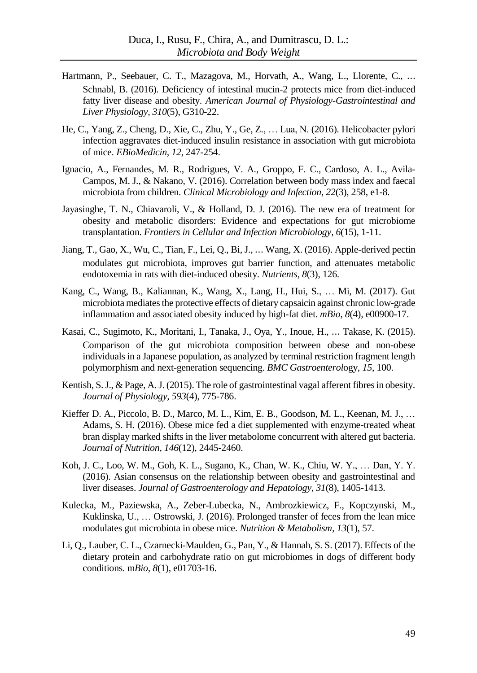- Hartmann, P., Seebauer, C. T., Mazagova, M., Horvath, A., Wang, L., Llorente, C., ⋯ Schnabl, B. (2016). Deficiency of intestinal mucin-2 protects mice from diet-induced fatty liver disease and obesity. *American Journal of Physiology-Gastrointestinal and Liver Physiology, 310*(5), G310-22.
- He, C., Yang, Z., Cheng, D., Xie, C., Zhu, Y., Ge, Z., … Lua, N. (2016). Helicobacter pylori infection aggravates diet-induced insulin resistance in association with gut microbiota of mice. *EBioMedicin, 12*, 247-254.
- Ignacio, A., Fernandes, M. R., Rodrigues, V. A., Groppo, F. C., Cardoso, A. L., Avila-Campos, M. J., & Nakano, V. (2016). Correlation between body mass index and faecal microbiota from children. *Clinical Microbiology and Infection, 22*(3), 258, e1-8.
- Jayasinghe, T. N., Chiavaroli, V., & Holland, D. J. (2016). The new era of treatment for obesity and metabolic disorders: Evidence and expectations for gut microbiome transplantation. *Frontiers in Cellular and Infection Microbiology, 6*(15), 1-11.
- Jiang, T., Gao, X., Wu, C., Tian, F., Lei, Q., Bi, J., ⋯ Wang, X. (2016). Apple-derived pectin modulates gut microbiota, improves gut barrier function, and attenuates metabolic endotoxemia in rats with diet-induced obesity. *Nutrients, 8*(3), 126.
- Kang, C., Wang, B., Kaliannan, K., Wang, X., Lang, H., Hui, S., … Mi, M. (2017). Gut microbiota mediates the protective effects of dietary capsaicin against chronic low-grade inflammation and associated obesity induced by high-fat diet. *mBio, 8*(4), e00900-17.
- Kasai, C., Sugimoto, K., Moritani, I., Tanaka, J., Oya, Y., Inoue, H., ⋯ Takase, K. (2015). Comparison of the gut microbiota composition between obese and non-obese individuals in a Japanese population, as analyzed by terminal restriction fragment length polymorphism and next-generation sequencing. *BMC Gastroenterol*ogy, *15*, 100.
- Kentish, S.J., & Page, A.J. (2015). The role of gastrointestinal vagal afferent fibres in obesity. *Journal of Physiology, 593*(4), 775-786.
- Kieffer D. A., Piccolo, B. D., Marco, M. L., Kim, E. B., Goodson, M. L., Keenan, M. J., … Adams, S. H. (2016). Obese mice fed a diet supplemented with enzyme-treated wheat bran display marked shifts in the liver metabolome concurrent with altered gut bacteria. *Journal of Nutrition, 146*(12), 2445-2460.
- Koh, J. C., Loo, W. M., Goh, K. L., Sugano, K., Chan, W. K., Chiu, W. Y., … Dan, Y. Y. (2016). Asian consensus on the relationship between obesity and gastrointestinal and liver diseases. *Journal of Gastroenterology and Hepatology, 31*(8), 1405-1413.
- Kulecka, M., Paziewska, A., Zeber-Lubecka, N., Ambrozkiewicz, F., Kopczynski, M., Kuklinska, U., … Ostrowski, J. (2016). Prolonged transfer of feces from the lean mice modulates gut microbiota in obese mice. *Nutrition & Metabolism, 13*(1), 57.
- Li, Q., Lauber, C. L., Czarnecki-Maulden, G., Pan, Y., & Hannah, S. S. (2017). Effects of the dietary protein and carbohydrate ratio on gut microbiomes in dogs of different body conditions. m*Bio, 8*(1), e01703-16.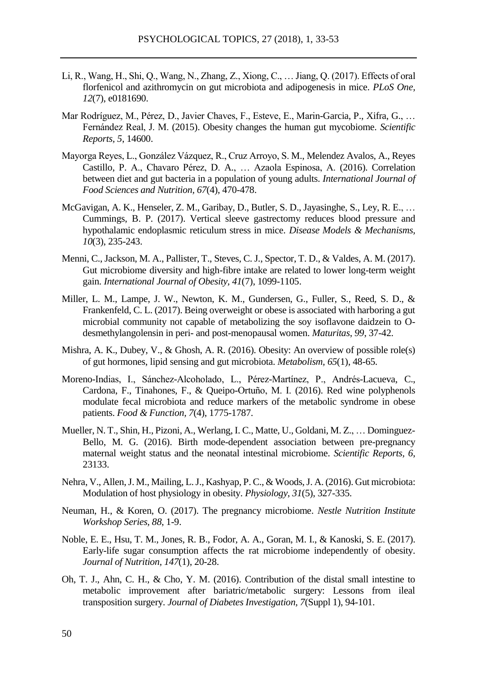- Li, R., Wang, H., Shi, Q., Wang, N., Zhang, Z., Xiong, C., … Jiang, Q. (2017). Effects of oral florfenicol and azithromycin on gut microbiota and adipogenesis in mice. *PLoS One, 12*(7), e0181690.
- Mar Rodríguez, M., Pérez, D., Javier Chaves, F., Esteve, E., Marin-Garcia, P., Xifra, G., … Fernández Real, J. M. (2015). Obesity changes the human gut mycobiome. *Scientific Reports, 5*, 14600.
- Mayorga Reyes, L., González Vázquez, R., Cruz Arroyo, S. M., Melendez Avalos, A., Reyes Castillo, P. A., Chavaro Pérez, D. A., … Azaola Espinosa, A. (2016). Correlation between diet and gut bacteria in a population of young adults. *International Journal of Food Sciences and Nutrition, 67*(4), 470-478.
- McGavigan, A. K., Henseler, Z. M., Garibay, D., Butler, S. D., Jayasinghe, S., Ley, R. E., … Cummings, B. P. (2017). Vertical sleeve gastrectomy reduces blood pressure and hypothalamic endoplasmic reticulum stress in mice. *Disease Models & Mechanisms, 10*(3), 235-243.
- Menni, C., Jackson, M. A., Pallister, T., Steves, C. J., Spector, T. D., & Valdes, A. M. (2017). Gut microbiome diversity and high-fibre intake are related to lower long-term weight gain. *International Journal of Obesity, 41*(7), 1099-1105.
- Miller, L. M., Lampe, J. W., Newton, K. M., Gundersen, G., Fuller, S., Reed, S. D., & Frankenfeld, C. L. (2017). Being overweight or obese is associated with harboring a gut microbial community not capable of metabolizing the soy isoflavone daidzein to Odesmethylangolensin in peri- and post-menopausal women. *Maturitas*, *99*, 37-42.
- Mishra, A. K., Dubey, V., & Ghosh, A. R. (2016). Obesity: An overview of possible role(s) of gut hormones, lipid sensing and gut microbiota. *Metabolism, 65*(1), 48-65.
- Moreno-Indias, I., Sánchez-Alcoholado, L., Pérez-Martínez, P., Andrés-Lacueva, C., Cardona, F., Tinahones, F., & Queipo-Ortuño, M. I. (2016). Red wine polyphenols modulate fecal microbiota and reduce markers of the metabolic syndrome in obese patients. *Food & Function, 7*(4), 1775-1787.
- Mueller, N. T., Shin, H., Pizoni, A., Werlang, I. C., Matte, U., Goldani, M. Z., … Dominguez-Bello, M. G. (2016). Birth mode-dependent association between pre-pregnancy maternal weight status and the neonatal intestinal microbiome. *Scientific Reports, 6*, 23133.
- Nehra, V., Allen, J. M., Mailing, L.J., Kashyap, P. C., & Woods, J. A. (2016). Gut microbiota: Modulation of host physiology in obesity. *Physiology*, *31*(5), 327-335.
- Neuman, H., & Koren, O. (2017). The pregnancy microbiome. *Nestle Nutrition Institute Workshop Series, 88*, 1-9.
- Noble, E. E., Hsu, T. M., Jones, R. B., Fodor, A. A., Goran, M. I., & Kanoski, S. E. (2017). Early-life sugar consumption affects the rat microbiome independently of obesity. *Journal of Nutrition, 147*(1), 20-28.
- Oh, T. J., Ahn, C. H., & Cho, Y. M. (2016). Contribution of the distal small intestine to metabolic improvement after bariatric/metabolic surgery: Lessons from ileal transposition surgery. *Journal of Diabetes Investigation, 7*(Suppl 1), 94-101.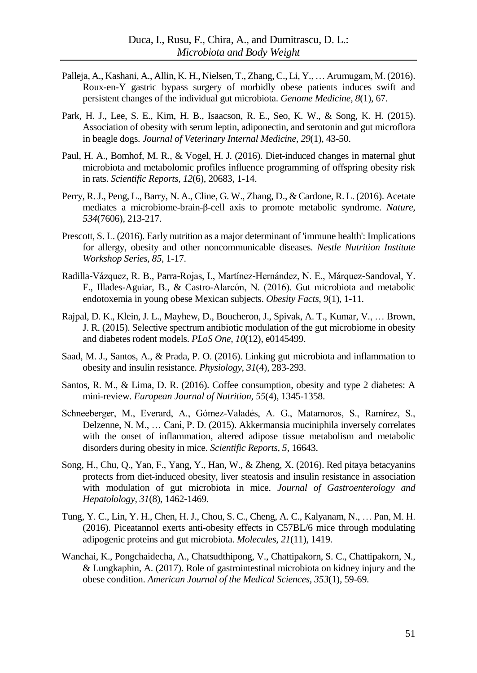- Palleja, A., Kashani, A., Allin, K. H., Nielsen, T., Zhang, C., Li, Y., … Arumugam, M. (2016). Roux-en-Y gastric bypass surgery of morbidly obese patients induces swift and persistent changes of the individual gut microbiota. *Genome Medicine, 8*(1), 67.
- Park, H. J., Lee, S. E., Kim, H. B., Isaacson, R. E., Seo, K. W., & Song, K. H. (2015). Association of obesity with serum leptin, adiponectin, and serotonin and gut microflora in beagle dogs. *Journal of Veterinary Internal Medicine, 29*(1), 43-50.
- Paul, H. A., Bomhof, M. R., & Vogel, H. J. (2016). Diet-induced changes in maternal ghut microbiota and metabolomic profiles influence programming of offspring obesity risk in rats. *Scientific Reports, 12*(6), 20683, 1-14.
- Perry, R.J., Peng, L., Barry, N. A., Cline, G. W., Zhang, D., & Cardone, R. L. (2016). Acetate mediates a microbiome-brain-β-cell axis to promote metabolic syndrome. *Nature, 534*(7606), 213-217.
- Prescott, S. L. (2016). Early nutrition as a major determinant of 'immune health': Implications for allergy, obesity and other noncommunicable diseases. *Nestle Nutrition Institute Workshop Series, 85*, 1-17.
- Radilla-Vázquez, R. B., Parra-Rojas, I., Martínez-Hernández, N. E., Márquez-Sandoval, Y. F., Illades-Aguiar, B., & Castro-Alarcón, N. (2016). Gut microbiota and metabolic endotoxemia in young obese Mexican subjects. *Obesity Facts, 9*(1), 1-11.
- Rajpal, D. K., Klein, J. L., Mayhew, D., Boucheron, J., Spivak, A. T., Kumar, V., … Brown, J. R. (2015). Selective spectrum antibiotic modulation of the gut microbiome in obesity and diabetes rodent models. *PLoS One, 10*(12), e0145499.
- Saad, M. J., Santos, A., & Prada, P. O. (2016). Linking gut microbiota and inflammation to obesity and insulin resistance. *Physiology*, *31*(4), 283-293.
- Santos, R. M., & Lima, D. R. (2016). Coffee consumption, obesity and type 2 diabetes: A mini-review. *European Journal of Nutrition, 55*(4), 1345-1358.
- Schneeberger, M., Everard, A., Gómez-Valadés, A. G., Matamoros, S., Ramírez, S., Delzenne, N. M., … Cani, P. D. (2015). Akkermansia muciniphila inversely correlates with the onset of inflammation, altered adipose tissue metabolism and metabolic disorders during obesity in mice. *Scientific Reports, 5*, 16643.
- Song, H., Chu, Q., Yan, F., Yang, Y., Han, W., & Zheng, X. (2016). Red pitaya betacyanins protects from diet-induced obesity, liver steatosis and insulin resistance in association with modulation of gut microbiota in mice. *Journal of Gastroenterology and Hepatolology, 31*(8), 1462-1469.
- Tung, Y. C., Lin, Y. H., Chen, H. J., Chou, S. C., Cheng, A. C., Kalyanam, N., … Pan, M. H. (2016). Piceatannol exerts anti-obesity effects in C57BL/6 mice through modulating adipogenic proteins and gut microbiota. *Molecules*, *21*(11), 1419.
- Wanchai, K., Pongchaidecha, A., Chatsudthipong, V., Chattipakorn, S. C., Chattipakorn, N., & Lungkaphin, A. (2017). Role of gastrointestinal microbiota on kidney injury and the obese condition. *American Journal of the Medical Sciences, 353*(1), 59-69.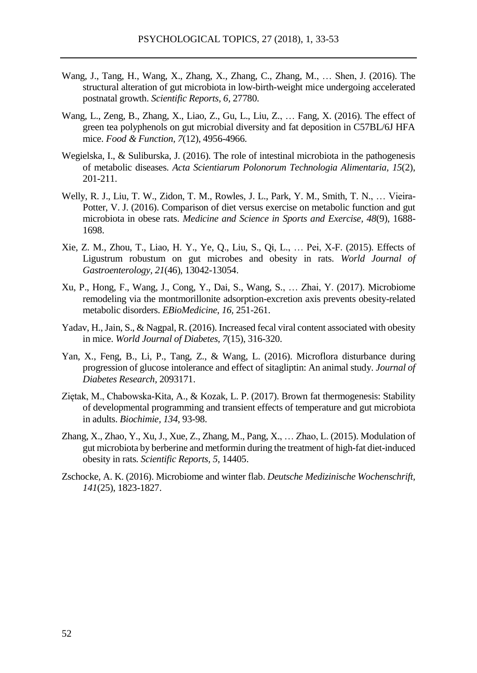- Wang, J., Tang, H., Wang, X., Zhang, X., Zhang, C., Zhang, M., … Shen, J. (2016). The structural alteration of gut microbiota in low-birth-weight mice undergoing accelerated postnatal growth. *Scientific Reports, 6,* 27780.
- Wang, L., Zeng, B., Zhang, X., Liao, Z., Gu, L., Liu, Z., … Fang, X. (2016). The effect of green tea polyphenols on gut microbial diversity and fat deposition in C57BL/6J HFA mice. *Food & Function, 7*(12), 4956-4966.
- Wegielska, I., & Suliburska, J. (2016). The role of intestinal microbiota in the pathogenesis of metabolic diseases. *Acta Scientiarum Polonorum Technologia Alimentaria, 15*(2), 201-211.
- Welly, R. J., Liu, T. W., Zidon, T. M., Rowles, J. L., Park, Y. M., Smith, T. N., … Vieira-Potter, V. J. (2016). Comparison of diet versus exercise on metabolic function and gut microbiota in obese rats. *Medicine and Science in Sports and Exercise, 48*(9), 1688- 1698.
- Xie, Z. M., Zhou, T., Liao, H. Y., Ye, Q., Liu, S., Qi, L., … Pei, X-F. (2015). Effects of Ligustrum robustum on gut microbes and obesity in rats. *World Journal of Gastroenterology, 21*(46), 13042-13054.
- Xu, P., Hong, F., Wang, J., Cong, Y., Dai, S., Wang, S., … Zhai, Y. (2017). Microbiome remodeling via the montmorillonite adsorption-excretion axis prevents obesity-related metabolic disorders. *EBioMedicine*, *16,* 251-261.
- Yadav, H., Jain, S., & Nagpal, R. (2016). Increased fecal viral content associated with obesity in mice. *World Journal of Diabetes, 7*(15), 316-320.
- Yan, X., Feng, B., Li, P., Tang, Z., & Wang, L. (2016). Microflora disturbance during progression of glucose intolerance and effect of sitagliptin: An animal study. *Journal of Diabetes Research,* 2093171.
- Ziętak, M., Chabowska-Kita, A., & Kozak, L. P. (2017). Brown fat thermogenesis: Stability of developmental programming and transient effects of temperature and gut microbiota in adults. *Biochimie, 134*, 93-98.
- Zhang, X., Zhao, Y., Xu, J., Xue, Z., Zhang, M., Pang, X., … Zhao, L. (2015). Modulation of gut microbiota by berberine and metformin during the treatment of high-fat diet-induced obesity in rats. *Scientific Reports, 5*, 14405.
- Zschocke, A. K. (2016). Microbiome and winter flab. *Deutsche Medizinische Wochenschrift, 141*(25), 1823-1827.